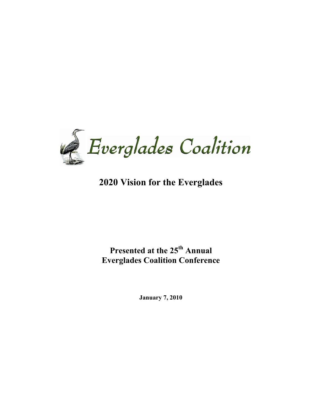

# **2020 Vision for the Everglades**

# **Presented at the 25th Annual Everglades Coalition Conference**

**January 7, 2010**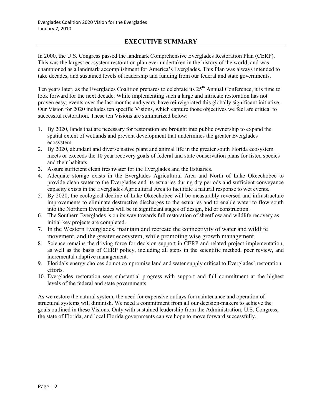### **EXECUTIVE SUMMARY**

In 2000, the U.S. Congress passed the landmark Comprehensive Everglades Restoration Plan (CERP). This was the largest ecosystem restoration plan ever undertaken in the history of the world, and was championed as a landmark accomplishment for America's Everglades. This Plan was always intended to take decades, and sustained levels of leadership and funding from our federal and state governments.

Ten years later, as the Everglades Coalition prepares to celebrate its  $25<sup>th</sup>$  Annual Conference, it is time to look forward for the next decade. While implementing such a large and intricate restoration has not proven easy, events over the last months and years, have reinvigorated this globally significant initiative. Our Vision for 2020 includes ten specific Visions, which capture those objectives we feel are critical to successful restoration. These ten Visions are summarized below:

- 1. By 2020, lands that are necessary for restoration are brought into public ownership to expand the spatial extent of wetlands and prevent development that undermines the greater Everglades ecosystem.
- 2. By 2020, abundant and diverse native plant and animal life in the greater south Florida ecosystem meets or exceeds the 10 year recovery goals of federal and state conservation plans for listed species and their habitats.
- 3. Assure sufficient clean freshwater for the Everglades and the Estuaries.
- 4. Adequate storage exists in the Everglades Agricultural Area and North of Lake Okeechobee to provide clean water to the Everglades and its estuaries during dry periods and sufficient conveyance capacity exists in the Everglades Agricultural Area to facilitate a natural response to wet events.
- 5. By 2020, the ecological decline of Lake Okeechobee will be measurably reversed and infrastructure improvements to eliminate destructive discharges to the estuaries and to enable water to flow south into the Northern Everglades will be in significant stages of design, bid or construction.
- 6. The Southern Everglades is on its way towards full restoration of sheetflow and wildlife recovery as initial key projects are completed.
- 7. In the Western Everglades, maintain and recreate the connectivity of water and wildlife movement, and the greater ecosystem, while promoting wise growth management.
- 8. Science remains the driving force for decision support in CERP and related project implementation, as well as the basis of CERP policy, including all steps in the scientific method, peer review, and incremental adaptive management.
- 9. Florida's energy choices do not compromise land and water supply critical to Everglades' restoration efforts.
- 10. Everglades restoration sees substantial progress with support and full commitment at the highest levels of the federal and state governments

As we restore the natural system, the need for expensive outlays for maintenance and operation of structural systems will diminish. We need a commitment from all our decision-makers to achieve the goals outlined in these Visions. Only with sustained leadership from the Administration, U.S. Congress, the state of Florida, and local Florida governments can we hope to move forward successfully.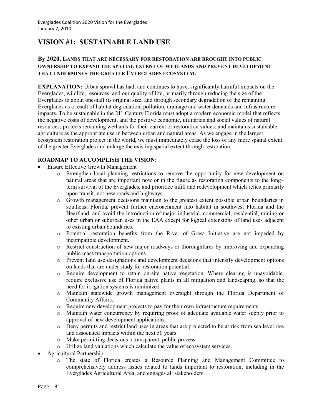# **VISION #1: SUSTAINABLE LAND USE**

### **By 2020, LANDS THAT ARE NECESSARY FOR RESTORATION ARE BROUGHT INTO PUBLIC OWNERSHIP TO EXPAND THE SPATIAL EXTENT OF WETLANDS AND PREVENT DEVELOPMENT THAT UNDERMINES THE GREATER EVERGLADES ECOSYSTEM.**

**EXPLANATION:** Urban sprawl has had, and continues to have, significantly harmful impacts on the Everglades, wildlife, resources, and our quality of life, primarily through reducing the size of the Everglades to about one-half its original size, and through secondary degradation of the remaining Everglades as a result of habitat degradation, pollution, drainage and water demands and infrastructure impacts. To be sustainable in the 21<sup>st</sup> Century Florida must adopt a modern economic model that reflects the negative costs of development, and the positive economic, utilitarian and social values of natural resources; protects remaining wetlands for their current or restoration values; and maintains sustainable agriculture as the appropriate use in between urban and natural areas. As we engage in the largest ecosystem restoration project in the world, we must immediately cease the loss of any more spatial extent of the greater Everglades and enlarge the existing spatial extent through restoration.

- Ensure Effective Growth Management
	- o Strengthen local planning restrictions to remove the opportunity for new development on natural areas that are important now or in the future as restoration components to the long– term survival of the Everglades, and prioritize infill and redevelopment which relies primarily upon transit, not new roads and highways.
	- o Growth management decisions maintain to the greatest extent possible urban boundaries in southeast Florida, prevent further encroachment into habitat in southwest Florida and the Heartland, and avoid the introduction of major industrial, commercial, residential, mining or other urban or suburban uses in the EAA except for logical extensions of land uses adjacent to existing urban boundaries.
	- o Potential restoration benefits from the River of Grass Initiative are not impeded by incompatible development.
	- o Restrict construction of new major roadways or thoroughfares by improving and expanding public mass transportation options
	- o Prevent land use designations and development decisions that intensify development options on lands that are under study for restoration potential.
	- o Require development to retain on-site native vegetation. Where clearing is unavoidable, require exclusive use of Florida native plants in all mitigation and landscaping, so that the need for irrigation systems is minimized.
	- o Maintain statewide growth management oversight through the Florida Department of Community Affairs.
	- o Require new development projects to pay for their own infrastructure requirements.
	- o Maintain water concurrency by requiring proof of adequate available water supply prior to approval of new development applications.
	- o Deny permits and restrict land uses in areas that are projected to be at risk from sea level rise and associated impacts within the next 50 years.
	- o Make permitting decisions a transparent, public process.
	- o Utilize land valuations which calculate the value of ecosystem services.
- Agricultural Partnership
	- o The state of Florida creates a Resource Planning and Management Committee to comprehensively address issues related to lands important to restoration, including in the Everglades Agricultural Area, and engages all stakeholders.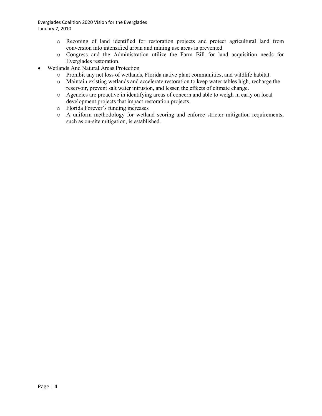Everglades Coalition 2020 Vision for the Everglades January 7, 2010

- o Rezoning of land identified for restoration projects and protect agricultural land from conversion into intensified urban and mining use areas is prevented
- o Congress and the Administration utilize the Farm Bill for land acquisition needs for Everglades restoration.
- Wetlands And Natural Areas Protection
	- o Prohibit any net loss of wetlands, Florida native plant communities, and wildlife habitat.
	- o Maintain existing wetlands and accelerate restoration to keep water tables high, recharge the reservoir, prevent salt water intrusion, and lessen the effects of climate change.
	- o Agencies are proactive in identifying areas of concern and able to weigh in early on local development projects that impact restoration projects.
	- o Florida Forever's funding increases
	- o A uniform methodology for wetland scoring and enforce stricter mitigation requirements, such as on-site mitigation, is established.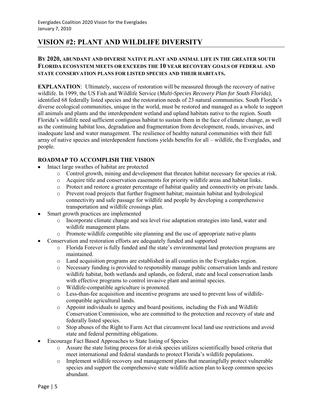# **VISION #2: PLANT AND WILDLIFE DIVERSITY**

### **BY 2020, ABUNDANT AND DIVERSE NATIVE PLANT AND ANIMAL LIFE IN THE GREATER SOUTH FLORIDA ECOSYSTEM MEETS OR EXCEEDS THE 10 YEAR RECOVERY GOALS OF FEDERAL AND STATE CONSERVATION PLANS FOR LISTED SPECIES AND THEIR HABITATS.**

**EXPLANATION:** Ultimately, success of restoration will be measured through the recovery of native wildlife. In 1999, the US Fish and Wildlife Service (*Multi-Species Recovery Plan for South Florida)*, identified 68 federally listed species and the restoration needs of 23 natural communities. South Florida's diverse ecological communities, unique in the world, must be restored and managed as a whole to support all animals and plants and the interdependent wetland and upland habitats native to the region. South Florida's wildlife need sufficient contiguous habitat to sustain them in the face of climate change, as well as the continuing habitat loss, degradation and fragmentation from development, roads, invasives, and inadequate land and water management. The resilience of healthy natural communities with their full array of native species and interdependent functions yields benefits for all – wildlife, the Everglades, and people.

- Intact large swathes of habitat are protected
	- o Control growth, mining and development that threaten habitat necessary for species at risk.
	- o Acquire title and conservation easements for priority wildlife areas and habitat links.
	- o Protect and restore a greater percentage of habitat quality and connectivity on private lands.
	- o Prevent road projects that further fragment habitat; maintain habitat and hydrological connectivity and safe passage for wildlife and people by developing a comprehensive transportation and wildlife crossings plan.
- Smart growth practices are implemented
	- o Incorporate climate change and sea level rise adaptation strategies into land, water and wildlife management plans.
	- o Promote wildlife compatible site planning and the use of appropriate native plants
	- Conservation and restoration efforts are adequately funded and supported
		- o Florida Forever is fully funded and the state's environmental land protection programs are maintained.
		- o Land acquisition programs are established in all counties in the Everglades region.
		- o Necessary funding is provided to responsibly manage public conservation lands and restore wildlife habitat, both wetlands and uplands, on federal, state and local conservation lands with effective programs to control invasive plant and animal species.
		- o Wildlife-compatible agriculture is promoted.
		- o Less-than-fee acquisition and incentive programs are used to prevent loss of wildlifecompatible agricultural lands.
		- o Appoint individuals to agency and board positions, including the Fish and Wildlife Conservation Commission, who are committed to the protection and recovery of state and federally listed species.
		- o Stop abuses of the Right to Farm Act that circumvent local land use restrictions and avoid state and federal permitting obligations.
- Encourage Fact Based Approaches to State listing of Species
	- o Assure the state listing process for at-risk species utilizes scientifically based criteria that meet international and federal standards to protect Florida's wildlife populations.
	- o Implement wildlife recovery and management plans that meaningfully protect vulnerable species and support the comprehensive state wildlife action plan to keep common species abundant.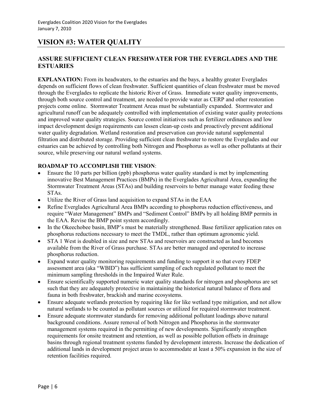# **VISION #3: WATER QUALITY**

### **ASSURE SUFFICIENT CLEAN FRESHWATER FOR THE EVERGLADES AND THE ESTUARIES**

**EXPLANATION:** From its headwaters, to the estuaries and the bays, a healthy greater Everglades depends on sufficient flows of clean freshwater. Sufficient quantities of clean freshwater must be moved through the Everglades to replicate the historic River of Grass. Immediate water quality improvements, through both source control and treatment, are needed to provide water as CERP and other restoration projects come online. Stormwater Treatment Areas must be substantially expanded. Stormwater and agricultural runoff can be adequately controlled with implementation of existing water quality protections and improved water quality strategies. Source control initiatives such as fertilizer ordinances and low impact development design requirements can lessen clean-up costs and proactively prevent additional water quality degradation. Wetland restoration and preservation can provide natural supplemental filtration and distributed storage. Providing sufficient clean freshwater to restore the Everglades and our estuaries can be achieved by controlling both Nitrogen and Phosphorus as well as other pollutants at their source, while preserving our natural wetland systems.

- Ensure the 10 parts per billion (ppb) phosphorus water quality standard is met by implementing innovative Best Management Practices (BMPs) in the Everglades Agricultural Area, expanding the Stormwater Treatment Areas (STAs) and building reservoirs to better manage water feeding these STAs.
- Utilize the River of Grass land acquisition to expand STAs in the EAA  $\bullet$
- Refine Everglades Agricultural Area BMPs according to phosphorus reduction effectiveness, and require "Water Management" BMPs and "Sediment Control" BMPs by all holding BMP permits in the EAA. Revise the BMP point system accordingly.
- In the Okeechobee basin, BMP's must be materially strengthened. Base fertilizer application rates on phosphorus reductions necessary to meet the TMDL, rather than optimum agronomic yield.
- STA 1 West is doubled in size and new STAs and reservoirs are constructed as land becomes available from the River of Grass purchase. STAs are better managed and operated to increase phosphorus reduction.
- Expand water quality monitoring requirements and funding to support it so that every FDEP assessment area (aka "WBID") has sufficient sampling of each regulated pollutant to meet the minimum sampling thresholds in the Impaired Water Rule.
- Ensure scientifically supported numeric water quality standards for nitrogen and phosphorus are set such that they are adequately protective in maintaining the historical natural balance of flora and fauna in both freshwater, brackish and marine ecosystems.
- Ensure adequate wetlands protection by requiring like for like wetland type mitigation, and not allow natural wetlands to be counted as pollutant sources or utilized for required stormwater treatment.
- Ensure adequate stormwater standards for removing additional pollutant loadings above natural background conditions. Assure removal of both Nitrogen and Phosphorus in the stormwater management systems required in the permitting of new developments. Significantly strengthen requirements for onsite treatment and retention, as well as possible pollution offsets in drainage basins through regional treatment systems funded by development interests. Increase the dedication of additional lands in development project areas to accommodate at least a 50% expansion in the size of retention facilities required.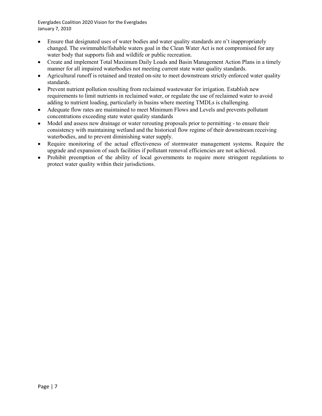Everglades Coalition 2020 Vision for the Everglades January 7, 2010

- Ensure that designated uses of water bodies and water quality standards are n't inappropriately changed. The swimmable/fishable waters goal in the Clean Water Act is not compromised for any water body that supports fish and wildlife or public recreation.
- Create and implement Total Maximum Daily Loads and Basin Management Action Plans in a timely  $\bullet$ manner for all impaired waterbodies not meeting current state water quality standards.
- Agricultural runoff is retained and treated on-site to meet downstream strictly enforced water quality  $\bullet$ standards.
- Prevent nutrient pollution resulting from reclaimed wastewater for irrigation. Establish new  $\bullet$ requirements to limit nutrients in reclaimed water, or regulate the use of reclaimed water to avoid adding to nutrient loading, particularly in basins where meeting TMDLs is challenging.
- Adequate flow rates are maintained to meet Minimum Flows and Levels and prevents pollutant  $\bullet$ concentrations exceeding state water quality standards
- Model and assess new drainage or water rerouting proposals prior to permitting to ensure their consistency with maintaining wetland and the historical flow regime of their downstream receiving waterbodies, and to prevent diminishing water supply.
- Require monitoring of the actual effectiveness of stormwater management systems. Require the  $\bullet$ upgrade and expansion of such facilities if pollutant removal efficiencies are not achieved.
- Prohibit preemption of the ability of local governments to require more stringent regulations to protect water quality within their jurisdictions.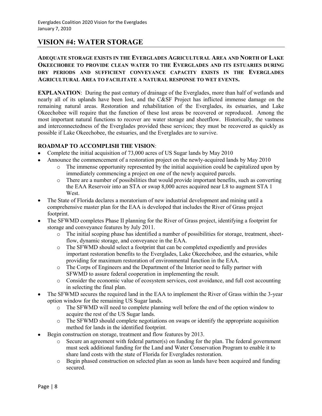# **VISION #4: WATER STORAGE**

### **ADEQUATE STORAGE EXISTS IN THE EVERGLADES AGRICULTURAL AREA AND NORTH OF LAKE OKEECHOBEE TO PROVIDE CLEAN WATER TO THE EVERGLADES AND ITS ESTUARIES DURING DRY PERIODS AND SUFFICIENT CONVEYANCE CAPACITY EXISTS IN THE EVERGLADES AGRICULTURAL AREA TO FACILITATE A NATURAL RESPONSE TO WET EVENTS.**

**EXPLANATION:** During the past century of drainage of the Everglades, more than half of wetlands and nearly all of its uplands have been lost, and the C&SF Project has inflicted immense damage on the remaining natural areas. Restoration and rehabilitation of the Everglades, its estuaries, and Lake Okeechobee will require that the function of these lost areas be recovered or reproduced. Among the most important natural functions to recover are water storage and sheetflow. Historically, the vastness and interconnectedness of the Everglades provided these services; they must be recovered as quickly as possible if Lake Okeechobee, the estuaries, and the Everglades are to survive.

- Complete the initial acquisition of 73,000 acres of US Sugar lands by May 2010
- Announce the commencement of a restoration project on the newly-acquired lands by May 2010
	- o The immense opportunity represented by the initial acquisition could be capitalized upon by immediately commencing a project on one of the newly acquired parcels.
	- o There are a number of possibilities that would provide important benefits, such as converting the EAA Reservoir into an STA or swap 8,000 acres acquired near L8 to augment STA 1 West.
- The State of Florida declares a moratorium of new industrial development and mining until a comprehensive master plan for the EAA is developed that includes the River of Grass project footprint.
- The SFWMD completes Phase II planning for the River of Grass project, identifying a footprint for storage and conveyance features by July 2011.
	- o The initial scoping phase has identified a number of possibilities for storage, treatment, sheetflow, dynamic storage, and conveyance in the EAA.
	- o The SFWMD should select a footprint that can be completed expediently and provides important restoration benefits to the Everglades, Lake Okeechobee, and the estuaries, while providing for maximum restoration of environmental function in the EAA.
	- o The Corps of Engineers and the Department of the Interior need to fully partner with SFWMD to assure federal cooperation in implementing the result.
	- o Consider the economic value of ecosystem services, cost avoidance, and full cost accounting in selecting the final plan.
- The SFWMD secures the required land in the EAA to implement the River of Grass within the 3-year option window for the remaining US Sugar lands.
	- o The SFWMD will need to complete planning well before the end of the option window to acquire the rest of the US Sugar lands.
	- o The SFWMD should complete negotiations on swaps or identify the appropriate acquisition method for lands in the identified footprint.
- Begin construction on storage, treatment and flow features by 2013.
	- o Secure an agreement with federal partner(s) on funding for the plan. The federal government must seek additional funding for the Land and Water Conservation Program to enable it to share land costs with the state of Florida for Everglades restoration.
	- o Begin phased construction on selected plan as soon as lands have been acquired and funding secured.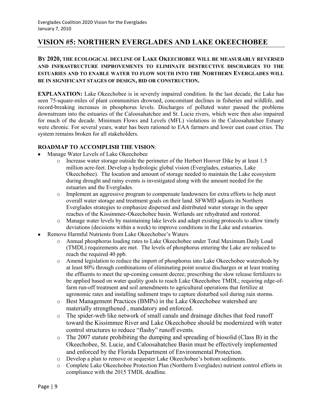## **VISION #5: NORTHERN EVERGLADES AND LAKE OKEECHOBEE**

### **BY 2020, THE ECOLOGICAL DECLINE OF LAKE OKEECHOBEE WILL BE MEASURABLY REVERSED AND INFRASTRUCTURE IMPROVEMENTS TO ELIMINATE DESTRUCTIVE DISCHARGES TO THE ESTUARIES AND TO ENABLE WATER TO FLOW SOUTH INTO THE NORTHERN EVERGLADES WILL BE IN SIGNIFICANT STAGES OF DESIGN, BID OR CONSTRUCTION.**

**EXPLANATION:** Lake Okeechobee is in severely impaired condition. In the last decade, the Lake has seen 75-square-miles of plant communities drowned, concomitant declines in fisheries and wildlife, and record-breaking increases in phosphorus levels. Discharges of polluted water passed the problems downstream into the estuaries of the Caloosahatchee and St. Lucie rivers, which were then also impaired for much of the decade. Minimum Flows and Levels (MFL) violations in the Caloosahatchee Estuary were chronic. For several years, water has been rationed to EAA farmers and lower east coast cities. The system remains broken for all stakeholders.

- Manage Water Levels of Lake Okeechobee
	- o Increase water storage outside the perimeter of the Herbert Hoover Dike by at least 1.5 million acre-feet. Develop a hydrologic global vision (Everglades, estuaries, Lake Okeechobee). The location and amount of storage needed to maintain the Lake ecosystem during drought and rainy events is investigated along with the amount needed for the estuaries and the Everglades.
	- o Implement an aggressive program to compensate landowners for extra efforts to help meet overall water storage and treatment goals on their land. SFWMD adjusts its Northern Everglades strategies to emphasize dispersed and distributed water storage in the upper reaches of the Kissimmee-Okeechobee basin. Wetlands are rehydrated and restored.
	- o Manage water levels by maintaining lake levels and adapt existing protocols to allow timely deviations (decisions within a week) to improve conditions in the Lake and estuaries.
- Remove Harmful Nutrients from Lake Okeechobee's Waters
	- o Annual phosphorus loading rates to Lake Okeechobee under Total Maximum Daily Load (TMDL) requirements are met. The levels of phosphorus entering the Lake are reduced to reach the required 40 ppb.
	- o Amend legislation to reduce the import of phosphorus into Lake Okeechobee watersheds by at least 80% through combinations of eliminating point source discharges or at least treating the effluents to meet the up-coming consent decree; prescribing the slow release fertilizers to be applied based on water quality goals to reach Lake Okeechobee TMDL; requiring edge-offarm run-off treatment and soil amendments to agricultural operations that fertilize at agronomic rates and installing sediment traps to capture disturbed soil during rain storms.
	- o Best Management Practices (BMPs) in the Lake Okeechobee watershed are materially strengthened , mandatory and enforced.
	- o The spider-web like network of small canals and drainage ditches that feed runoff toward the Kissimmee River and Lake Okeechobee should be modernized with water control structures to reduce "flashy" runoff events.
	- o The 2007 statute prohibiting the dumping and spreading of biosolid (Class B) in the Okeechobee, St. Lucie, and Caloosahatchee Basin must be effectively implemented and enforced by the Florida Department of Environmental Protection.
	- o Develop a plan to remove or sequester Lake Okeechobee's bottom sediments.
	- o Complete Lake Okeechobee Protection Plan (Northern Everglades) nutrient control efforts in compliance with the 2015 TMDL deadline.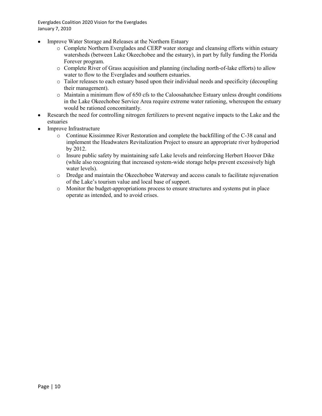Everglades Coalition 2020 Vision for the Everglades January 7, 2010

- Improve Water Storage and Releases at the Northern Estuary
	- o Complete Northern Everglades and CERP water storage and cleansing efforts within estuary watersheds (between Lake Okeechobee and the estuary), in part by fully funding the Florida Forever program.
	- o Complete River of Grass acquisition and planning (including north-of-lake efforts) to allow water to flow to the Everglades and southern estuaries.
	- o Tailor releases to each estuary based upon their individual needs and specificity (decoupling their management).
	- $\circ$  Maintain a minimum flow of 650 cfs to the Caloosahatchee Estuary unless drought conditions in the Lake Okeechobee Service Area require extreme water rationing, whereupon the estuary would be rationed concomitantly.
- Research the need for controlling nitrogen fertilizers to prevent negative impacts to the Lake and the estuaries
- Improve Infrastructure  $\bullet$ 
	- o Continue Kissimmee River Restoration and complete the backfilling of the C-38 canal and implement the Headwaters Revitalization Project to ensure an appropriate river hydroperiod by 2012.
	- o Insure public safety by maintaining safe Lake levels and reinforcing Herbert Hoover Dike (while also recognizing that increased system-wide storage helps prevent excessively high water levels).
	- o Dredge and maintain the Okeechobee Waterway and access canals to facilitate rejuvenation of the Lake's tourism value and local base of support.
	- o Monitor the budget-appropriations process to ensure structures and systems put in place operate as intended, and to avoid crises.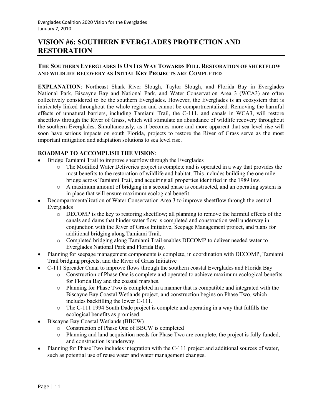# **VISION #6: SOUTHERN EVERGLADES PROTECTION AND RESTORATION**

### **THE SOUTHERN EVERGLADES IS ON ITS WAY TOWARDS FULL RESTORATION OF SHEETFLOW AND WILDLIFE RECOVERY AS INITIAL KEY PROJECTS ARE COMPLETED**

**EXPLANATION**: Northeast Shark River Slough, Taylor Slough, and Florida Bay in Everglades National Park, Biscayne Bay and National Park, and Water Conservation Area 3 (WCA3) are often collectively considered to be the southern Everglades. However, the Everglades is an ecosystem that is intricately linked throughout the whole region and cannot be compartmentalized. Removing the harmful effects of unnatural barriers, including Tamiami Trail, the C-111, and canals in WCA3, will restore sheetflow through the River of Grass, which will stimulate an abundance of wildlife recovery throughout the southern Everglades. Simultaneously, as it becomes more and more apparent that sea level rise will soon have serious impacts on south Florida, projects to restore the River of Grass serve as the most important mitigation and adaptation solutions to sea level rise.

- Bridge Tamiami Trail to improve sheetflow through the Everglades
	- o The Modified Water Deliveries project is complete and is operated in a way that provides the most benefits to the restoration of wildlife and habitat. This includes building the one mile bridge across Tamiami Trail, and acquiring all properties identified in the 1989 law.
	- o A maximum amount of bridging in a second phase is constructed, and an operating system is in place that will ensure maximum ecological benefit.
- Decompartmentalization of Water Conservation Area 3 to improve sheetflow through the central Everglades
	- o DECOMP is the key to restoring sheetflow; all planning to remove the harmful effects of the canals and dams that hinder water flow is completed and construction well underway in conjunction with the River of Grass Initiative, Seepage Management project, and plans for additional bridging along Tamiami Trail.
	- o Completed bridging along Tamiami Trail enables DECOMP to deliver needed water to Everglades National Park and Florida Bay.
- Planning for seepage management components is complete, in coordination with DECOMP, Tamiami Trail bridging projects, and the River of Grass Initiative
- C-111 Spreader Canal to improve flows through the southern coastal Everglades and Florida Bay
	- o Construction of Phase One is complete and operated to achieve maximum ecological benefits for Florida Bay and the coastal marshes.
	- o Planning for Phase Two is completed in a manner that is compatible and integrated with the Biscayne Bay Coastal Wetlands project, and construction begins on Phase Two, which includes backfilling the lower C-111.
	- o The C-111 1994 South Dade project is complete and operating in a way that fulfills the ecological benefits as promised.
- Biscayne Bay Coastal Wetlands (BBCW)
	- o Construction of Phase One of BBCW is completed
	- o Planning and land acquisition needs for Phase Two are complete, the project is fully funded, and construction is underway.
- Planning for Phase Two includes integration with the C-111 project and additional sources of water, such as potential use of reuse water and water management changes.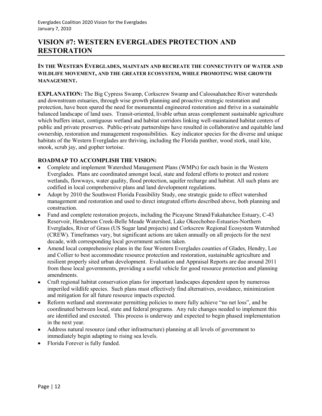# **VISION #7: WESTERN EVERGLADES PROTECTION AND RESTORATION**

### **IN THE WESTERN EVERGLADES, MAINTAIN AND RECREATE THE CONNECTIVITY OF WATER AND WILDLIFE MOVEMENT, AND THE GREATER ECOSYSTEM, WHILE PROMOTING WISE GROWTH MANAGEMENT.**

**EXPLANATION:** The Big Cypress Swamp, Corkscrew Swamp and Caloosahatchee River watersheds and downstream estuaries, through wise growth planning and proactive strategic restoration and protection, have been spared the need for monumental engineered restoration and thrive in a sustainable balanced landscape of land uses. Transit-oriented, livable urban areas complement sustainable agriculture which buffers intact, contiguous wetland and habitat corridors linking well-maintained habitat centers of public and private preserves. Public-private partnerships have resulted in collaborative and equitable land ownership, restoration and management responsibilities. Key indicator species for the diverse and unique habitats of the Western Everglades are thriving, including the Florida panther, wood stork, snail kite, snook, scrub jay, and gopher tortoise.

- Complete and implement Watershed Management Plans (WMPs) for each basin in the Western Everglades. Plans are coordinated amongst local, state and federal efforts to protect and restore wetlands, flowways, water quality, flood protection, aquifer recharge and habitat. All such plans are codified in local comprehensive plans and land development regulations.
- Adopt by 2010 the Southwest Florida Feasibility Study, one strategic guide to effect watershed management and restoration and used to direct integrated efforts described above, both planning and construction.
- Fund and complete restoration projects, including the Picayune Strand/Fakahatchee Estuary, C-43 Reservoir, Henderson Creek-Belle Meade Watershed, Lake Okeechobee-Estuaries-Northern Everglades, River of Grass (US Sugar land projects) and Corkscrew Regional Ecosystem Watershed (CREW). Timeframes vary, but significant actions are taken annually on all projects for the next decade, with corresponding local government actions taken.
- Amend local comprehensive plans in the four Western Everglades counties of Glades, Hendry, Lee and Collier to best accommodate resource protection and restoration, sustainable agriculture and resilient properly sited urban development. Evaluation and Appraisal Reports are due around 2011 from these local governments, providing a useful vehicle for good resource protection and planning amendments.
- Craft regional habitat conservation plans for important landscapes dependent upon by numerous imperiled wildlife species. Such plans must effectively find alternatives, avoidance, minimization and mitigation for all future resource impacts expected.
- Reform wetland and stormwater permitting policies to more fully achieve "no net loss", and be  $\bullet$ coordinated between local, state and federal programs. Any rule changes needed to implement this are identified and executed. This process is underway and expected to begin phased implementation in the next year.
- Address natural resource (and other infrastructure) planning at all levels of government to immediately begin adapting to rising sea levels.
- Florida Forever is fully funded.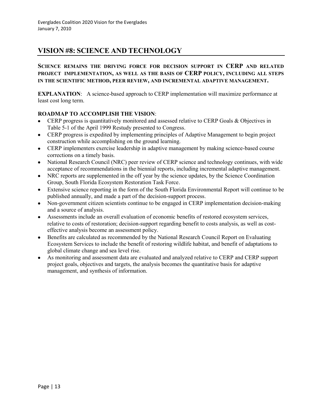# **VISION #8: SCIENCE AND TECHNOLOGY**

**SCIENCE REMAINS THE DRIVING FORCE FOR DECISION SUPPORT IN CERP AND RELATED PROJECT IMPLEMENTATION, AS WELL AS THE BASIS OF CERP POLICY, INCLUDING ALL STEPS IN THE SCIENTIFIC METHOD, PEER REVIEW, AND INCREMENTAL ADAPTIVE MANAGEMENT.**

**EXPLANATION:** A science-based approach to CERP implementation will maximize performance at least cost long term.

- CERP progress is quantitatively monitored and assessed relative to CERP Goals & Objectives in Table 5-1 of the April 1999 Restudy presented to Congress.
- CERP progress is expedited by implementing principles of Adaptive Management to begin project construction while accomplishing on the ground learning.
- CERP implementers exercise leadership in adaptive management by making science-based course corrections on a timely basis.
- National Research Council (NRC) peer review of CERP science and technology continues, with wide acceptance of recommendations in the biennial reports, including incremental adaptive management.
- NRC reports are supplemented in the off year by the science updates, by the Science Coordination Group, South Florida Ecosystem Restoration Task Force.
- Extensive science reporting in the form of the South Florida Environmental Report will continue to be published annually, and made a part of the decision-support process.
- Non-government citizen scientists continue to be engaged in CERP implementation decision-making  $\bullet$ and a source of analysis.
- Assessments include an overall evaluation of economic benefits of restored ecosystem services, relative to costs of restoration; decision-support regarding benefit to costs analysis, as well as costeffective analysis become an assessment policy.
- Benefits are calculated as recommended by the National Research Council Report on Evaluating Ecosystem Services to include the benefit of restoring wildlife habitat, and benefit of adaptations to global climate change and sea level rise.
- As monitoring and assessment data are evaluated and analyzed relative to CERP and CERP support project goals, objectives and targets, the analysis becomes the quantitative basis for adaptive management, and synthesis of information.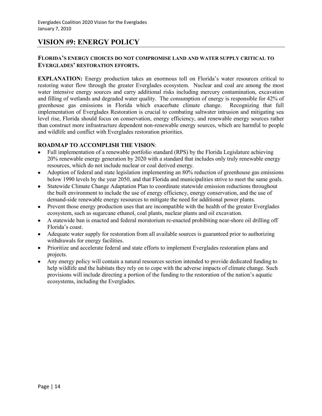# **VISION #9: ENERGY POLICY**

#### **FLORIDA'S ENERGY CHOICES DO NOT COMPROMISE LAND AND WATER SUPPLY CRITICAL TO EVERGLADES' RESTORATION EFFORTS.**

**EXPLANATION:** Energy production takes an enormous toll on Florida's water resources critical to restoring water flow through the greater Everglades ecosystem. Nuclear and coal are among the most water intensive energy sources and carry additional risks including mercury contamination, excavation and filling of wetlands and degraded water quality. The consumption of energy is responsible for 42% of greenhouse gas emissions in Florida which exacerbate climate change. Recognizing that full implementation of Everglades Restoration is crucial to combating saltwater intrusion and mitigating sea level rise, Florida should focus on conservation, energy efficiency, and renewable energy sources rather than construct more infrastructure dependent non-renewable energy sources, which are harmful to people and wildlife and conflict with Everglades restoration priorities.

- Full implementation of a renewable portfolio standard (RPS) by the Florida Legislature achieving 20% renewable energy generation by 2020 with a standard that includes only truly renewable energy resources, which do not include nuclear or coal derived energy.
- Adoption of federal and state legislation implementing an 80% reduction of greenhouse gas emissions  $\bullet$ below 1990 levels by the year 2050, and that Florida and municipalities strive to meet the same goals.
- Statewide Climate Change Adaptation Plan to coordinate statewide emission reductions throughout the built environment to include the use of energy efficiency, energy conservation, and the use of demand-side renewable energy resources to mitigate the need for additional power plants.
- Prevent those energy production uses that are incompatible with the health of the greater Everglades ecosystem, such as sugarcane ethanol, coal plants, nuclear plants and oil excavation.
- A statewide ban is enacted and federal moratorium re-enacted prohibiting near-shore oil drilling off Florida's coast.
- Adequate water supply for restoration from all available sources is guaranteed prior to authorizing withdrawals for energy facilities.
- Prioritize and accelerate federal and state efforts to implement Everglades restoration plans and projects.
- Any energy policy will contain a natural resources section intended to provide dedicated funding to  $\bullet$ help wildlife and the habitats they rely on to cope with the adverse impacts of climate change. Such provisions will include directing a portion of the funding to the restoration of the nation's aquatic ecosystems, including the Everglades.